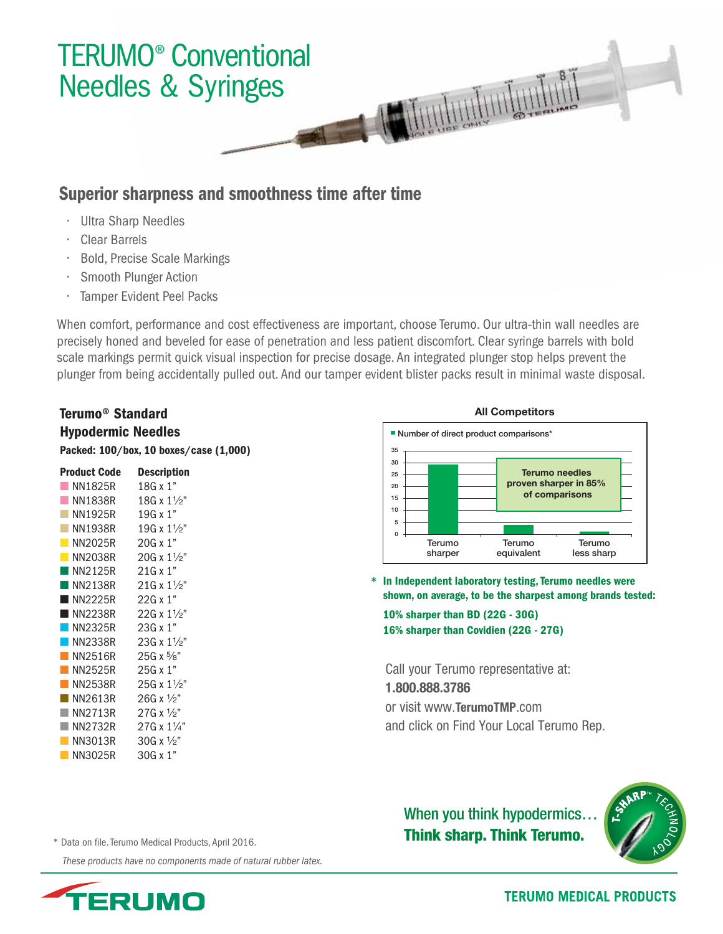

## Superior sharpness and smoothness time after time

- Ultra Sharp Needles
- Clear Barrels
- Bold, Precise Scale Markings
- Smooth Plunger Action
- Tamper Evident Peel Packs

When comfort, performance and cost effectiveness are important, choose Terumo. Our ultra-thin wall needles are precisely honed and beveled for ease of penetration and less patient discomfort. Clear syringe barrels with bold scale markings permit quick visual inspection for precise dosage. An integrated plunger stop helps prevent the plunger from being accidentally pulled out. And our tamper evident blister packs result in minimal waste disposal.

## Terumo® Standard Hypodermic Needles Packed: 100/box, 10 boxes/case (1,000)

| <b>Product Code</b>    | Description               |
|------------------------|---------------------------|
| NN1825R                | 18G x 1"                  |
| NN1838R                | 18G x $1\frac{1}{2}$ "    |
| NN1925R                | 19G x 1"                  |
| <b>NN1938R</b>         | 19G x $1\frac{1}{2}$ "    |
| NN2025R                | $20G \times 1"$           |
| N <sub>N</sub> 2038R   | $20G \times 1\frac{1}{2}$ |
| $\blacksquare$ NN2125R | $21G \times 1"$           |
| $\blacksquare$ NN2138R | 21G x $1\frac{1}{2}$      |
| $\blacksquare$ NN2225R | $22G \times 1"$           |
| $\blacksquare$ NN2238R | 22G x $1\frac{1}{2}$ "    |
| $\n $ NN2325R          | 23G x 1"                  |
| NN2338R                | 23G x $1\frac{1}{2}$      |
| <b>NN2516R</b>         | $25G \times \frac{5}{8}$  |
| NN2525R                | 25G x 1"                  |
| NN2538R                | $25G \times 1\frac{1}{2}$ |
| NN2613R                | 26G x $\frac{1}{2}$ "     |
| NN2713R                | $27G \times \frac{1}{2}$  |
| NN2732R                | 27G x 11/4"               |
| NN3013R                | 30G x $\frac{1}{2}$ "     |
| NN3025R                | $30G \times 1"$           |

#### **All Competitors**



\* In Independent laboratory testing, Terumo needles were shown, on average, to be the sharpest among brands tested:

10% sharper than BD (22G - 30G) 16% sharper than Covidien (22G - 27G)

Call your Terumo representative at: 1.800.888.3786 or visit www.TerumoTMP.com and click on Find Your Local Terumo Rep.

# When you think hypodermics… Think sharp. Think Terumo.



\* Data on file. Terumo Medical Products, April 2016.

 *These products have no components made of natural rubber latex.*



**TERUMO MEDICAL PRODUCTS**